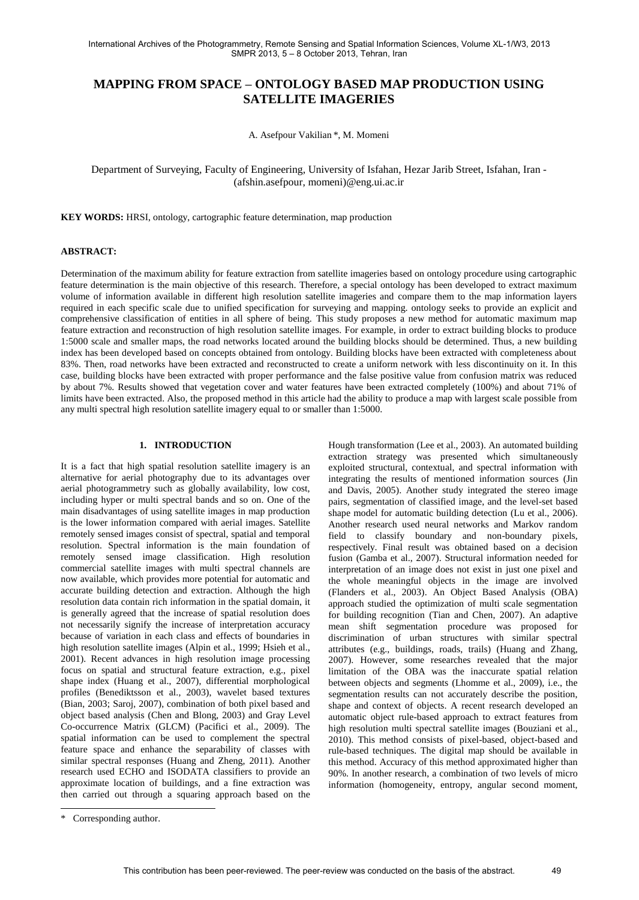# **MAPPING FROM SPACE – ONTOLOGY BASED MAP PRODUCTION USING SATELLITE IMAGERIES**

A. Asefpour Vakilian \*, M. Momeni

### Department of Surveying, Faculty of Engineering, University of Isfahan, Hezar Jarib Street, Isfahan, Iran - (afshin.asefpour, momeni)@eng.ui.ac.ir

**KEY WORDS:** HRSI, ontology, cartographic feature determination, map production

#### **ABSTRACT:**

Determination of the maximum ability for feature extraction from satellite imageries based on ontology procedure using cartographic feature determination is the main objective of this research. Therefore, a special ontology has been developed to extract maximum volume of information available in different high resolution satellite imageries and compare them to the map information layers required in each specific scale due to unified specification for surveying and mapping. ontology seeks to provide an explicit and comprehensive classification of entities in all sphere of being. This study proposes a new method for automatic maximum map feature extraction and reconstruction of high resolution satellite images. For example, in order to extract building blocks to produce 1:5000 scale and smaller maps, the road networks located around the building blocks should be determined. Thus, a new building index has been developed based on concepts obtained from ontology. Building blocks have been extracted with completeness about 83%. Then, road networks have been extracted and reconstructed to create a uniform network with less discontinuity on it. In this case, building blocks have been extracted with proper performance and the false positive value from confusion matrix was reduced by about 7%. Results showed that vegetation cover and water features have been extracted completely (100%) and about 71% of limits have been extracted. Also, the proposed method in this article had the ability to produce a map with largest scale possible from any multi spectral high resolution satellite imagery equal to or smaller than 1:5000.

#### **1. INTRODUCTION**

It is a fact that high spatial resolution satellite imagery is an alternative for aerial photography due to its advantages over aerial photogrammetry such as globally availability, low cost, including hyper or multi spectral bands and so on. One of the main disadvantages of using satellite images in map production is the lower information compared with aerial images. Satellite remotely sensed images consist of spectral, spatial and temporal resolution. Spectral information is the main foundation of remotely sensed image classification. High resolution commercial satellite images with multi spectral channels are now available, which provides more potential for automatic and accurate building detection and extraction. Although the high resolution data contain rich information in the spatial domain, it is generally agreed that the increase of spatial resolution does not necessarily signify the increase of interpretation accuracy because of variation in each class and effects of boundaries in high resolution satellite images (Alpin et al., 1999; Hsieh et al., 2001). Recent advances in high resolution image processing focus on spatial and structural feature extraction, e.g., pixel shape index (Huang et al., 2007), differential morphological profiles (Benediktsson et al., 2003), wavelet based textures (Bian, 2003; Saroj, 2007), combination of both pixel based and object based analysis (Chen and Blong, 2003) and Gray Level Co-occurrence Matrix (GLCM) (Pacifici et al., 2009). The spatial information can be used to complement the spectral feature space and enhance the separability of classes with similar spectral responses (Huang and Zheng, 2011). Another research used ECHO and ISODATA classifiers to provide an approximate location of buildings, and a fine extraction was then carried out through a squaring approach based on the Hough transformation (Lee et al., 2003). An automated building extraction strategy was presented which simultaneously exploited structural, contextual, and spectral information with integrating the results of mentioned information sources (Jin and Davis, 2005). Another study integrated the stereo image pairs, segmentation of classified image, and the level-set based shape model for automatic building detection (Lu et al., 2006). Another research used neural networks and Markov random field to classify boundary and non-boundary pixels, respectively. Final result was obtained based on a decision fusion (Gamba et al., 2007). Structural information needed for interpretation of an image does not exist in just one pixel and the whole meaningful objects in the image are involved (Flanders et al., 2003). An Object Based Analysis (OBA) approach studied the optimization of multi scale segmentation for building recognition (Tian and Chen, 2007). An adaptive mean shift segmentation procedure was proposed for discrimination of urban structures with similar spectral attributes (e.g., buildings, roads, trails) (Huang and Zhang, 2007). However, some researches revealed that the major limitation of the OBA was the inaccurate spatial relation between objects and segments (Lhomme et al., 2009), i.e., the segmentation results can not accurately describe the position, shape and context of objects. A recent research developed an automatic object rule-based approach to extract features from high resolution multi spectral satellite images (Bouziani et al., 2010). This method consists of pixel-based, object-based and rule-based techniques. The digital map should be available in this method. Accuracy of this method approximated higher than 90%. In another research, a combination of two levels of micro information (homogeneity, entropy, angular second moment,

 $\overline{a}$ 

<sup>\*</sup> Corresponding author.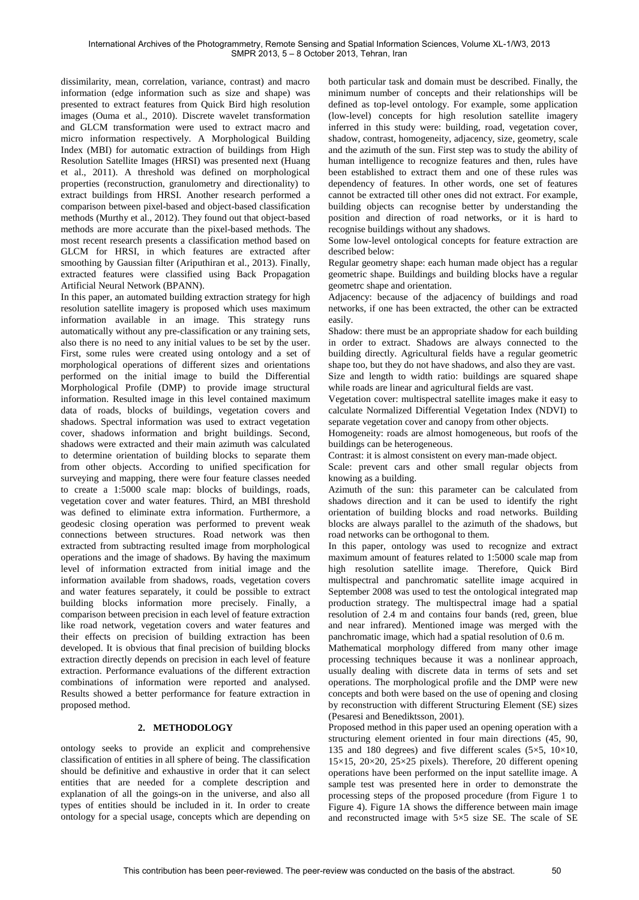dissimilarity, mean, correlation, variance, contrast) and macro information (edge information such as size and shape) was presented to extract features from Quick Bird high resolution images (Ouma et al., 2010). Discrete wavelet transformation and GLCM transformation were used to extract macro and micro information respectively. A Morphological Building Index (MBI) for automatic extraction of buildings from High Resolution Satellite Images (HRSI) was presented next (Huang et al., 2011). A threshold was defined on morphological properties (reconstruction, granulometry and directionality) to extract buildings from HRSI. Another research performed a comparison between pixel-based and object-based classification methods (Murthy et al., 2012). They found out that object-based methods are more accurate than the pixel-based methods. The most recent research presents a classification method based on GLCM for HRSI, in which features are extracted after smoothing by Gaussian filter (Ariputhiran et al., 2013). Finally, extracted features were classified using Back Propagation Artificial Neural Network (BPANN).

In this paper, an automated building extraction strategy for high resolution satellite imagery is proposed which uses maximum information available in an image. This strategy runs automatically without any pre-classification or any training sets, also there is no need to any initial values to be set by the user. First, some rules were created using ontology and a set of morphological operations of different sizes and orientations performed on the initial image to build the Differential Morphological Profile (DMP) to provide image structural information. Resulted image in this level contained maximum data of roads, blocks of buildings, vegetation covers and shadows. Spectral information was used to extract vegetation cover, shadows information and bright buildings. Second, shadows were extracted and their main azimuth was calculated to determine orientation of building blocks to separate them from other objects. According to unified specification for surveying and mapping, there were four feature classes needed to create a 1:5000 scale map: blocks of buildings, roads, vegetation cover and water features. Third, an MBI threshold was defined to eliminate extra information. Furthermore, a geodesic closing operation was performed to prevent weak connections between structures. Road network was then extracted from subtracting resulted image from morphological operations and the image of shadows. By having the maximum level of information extracted from initial image and the information available from shadows, roads, vegetation covers and water features separately, it could be possible to extract building blocks information more precisely. Finally, a comparison between precision in each level of feature extraction like road network, vegetation covers and water features and their effects on precision of building extraction has been developed. It is obvious that final precision of building blocks extraction directly depends on precision in each level of feature extraction. Performance evaluations of the different extraction combinations of information were reported and analysed. Results showed a better performance for feature extraction in proposed method.

## **2. METHODOLOGY**

ontology seeks to provide an explicit and comprehensive classification of entities in all sphere of being. The classification should be definitive and exhaustive in order that it can select entities that are needed for a complete description and explanation of all the goings-on in the universe, and also all types of entities should be included in it. In order to create ontology for a special usage, concepts which are depending on

both particular task and domain must be described. Finally, the minimum number of concepts and their relationships will be defined as top-level ontology. For example, some application (low-level) concepts for high resolution satellite imagery inferred in this study were: building, road, vegetation cover, shadow, contrast, homogeneity, adjacency, size, geometry, scale and the azimuth of the sun. First step was to study the ability of human intelligence to recognize features and then, rules have been established to extract them and one of these rules was dependency of features. In other words, one set of features cannot be extracted till other ones did not extract. For example, building objects can recognise better by understanding the position and direction of road networks, or it is hard to recognise buildings without any shadows.

Some low-level ontological concepts for feature extraction are described below:

Regular geometry shape: each human made object has a regular geometric shape. Buildings and building blocks have a regular geometrc shape and orientation.

Adjacency: because of the adjacency of buildings and road networks, if one has been extracted, the other can be extracted easily.

Shadow: there must be an appropriate shadow for each building in order to extract. Shadows are always connected to the building directly. Agricultural fields have a regular geometric shape too, but they do not have shadows, and also they are vast.

Size and length to width ratio: buildings are squared shape while roads are linear and agricultural fields are vast.

Vegetation cover: multispectral satellite images make it easy to calculate Normalized Differential Vegetation Index (NDVI) to separate vegetation cover and canopy from other objects.

Homogeneity: roads are almost homogeneous, but roofs of the buildings can be heterogeneous.

Contrast: it is almost consistent on every man-made object.

Scale: prevent cars and other small regular objects from knowing as a building.

Azimuth of the sun: this parameter can be calculated from shadows direction and it can be used to identify the right orientation of building blocks and road networks. Building blocks are always parallel to the azimuth of the shadows, but road networks can be orthogonal to them.

In this paper, ontology was used to recognize and extract maximum amount of features related to 1:5000 scale map from high resolution satellite image. Therefore, Quick Bird multispectral and panchromatic satellite image acquired in September 2008 was used to test the ontological integrated map production strategy. The multispectral image had a spatial resolution of 2.4 m and contains four bands (red, green, blue and near infrared). Mentioned image was merged with the panchromatic image, which had a spatial resolution of 0.6 m.

Mathematical morphology differed from many other image processing techniques because it was a nonlinear approach, usually dealing with discrete data in terms of sets and set operations. The morphological profile and the DMP were new concepts and both were based on the use of opening and closing by reconstruction with different Structuring Element (SE) sizes (Pesaresi and Benediktsson, 2001).

Proposed method in this paper used an opening operation with a structuring element oriented in four main directions (45, 90, 135 and 180 degrees) and five different scales (5×5, 10×10, 15×15, 20×20, 25×25 pixels). Therefore, 20 different opening operations have been performed on the input satellite image. A sample test was presented here in order to demonstrate the processing steps of the proposed procedure (from Figure 1 to Figure 4). Figure 1A shows the difference between main image and reconstructed image with 5×5 size SE. The scale of SE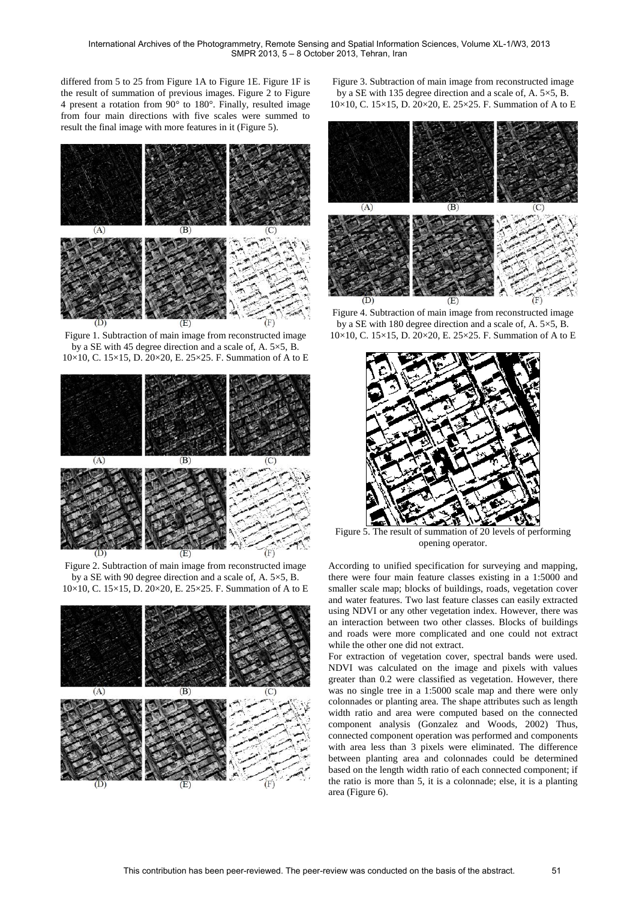differed from 5 to 25 from Figure 1A to Figure 1E. Figure 1F is the result of summation of previous images. Figure 2 to Figure 4 present a rotation from 90° to 180°. Finally, resulted image from four main directions with five scales were summed to result the final image with more features in it (Figure 5).



Figure 1. Subtraction of main image from reconstructed image by a SE with 45 degree direction and a scale of, A. 5×5, B. 10×10, C. 15×15, D. 20×20, E. 25×25. F. Summation of A to E



Figure 2. Subtraction of main image from reconstructed image by a SE with 90 degree direction and a scale of, A. 5×5, B. 10×10, C. 15×15, D. 20×20, E. 25×25. F. Summation of A to E



Figure 3. Subtraction of main image from reconstructed image by a SE with 135 degree direction and a scale of, A. 5×5, B. 10×10, C. 15×15, D. 20×20, E. 25×25. F. Summation of A to E



Figure 4. Subtraction of main image from reconstructed image by a SE with 180 degree direction and a scale of, A. 5×5, B. 10×10, C. 15×15, D. 20×20, E. 25×25. F. Summation of A to E



Figure 5. The result of summation of 20 levels of performing opening operator.

According to unified specification for surveying and mapping, there were four main feature classes existing in a 1:5000 and smaller scale map; blocks of buildings, roads, vegetation cover and water features. Two last feature classes can easily extracted using NDVI or any other vegetation index. However, there was an interaction between two other classes. Blocks of buildings and roads were more complicated and one could not extract while the other one did not extract.

For extraction of vegetation cover, spectral bands were used. NDVI was calculated on the image and pixels with values greater than 0.2 were classified as vegetation. However, there was no single tree in a 1:5000 scale map and there were only colonnades or planting area. The shape attributes such as length width ratio and area were computed based on the connected component analysis (Gonzalez and Woods, 2002) Thus, connected component operation was performed and components with area less than 3 pixels were eliminated. The difference between planting area and colonnades could be determined based on the length width ratio of each connected component; if the ratio is more than 5, it is a colonnade; else, it is a planting area (Figure 6).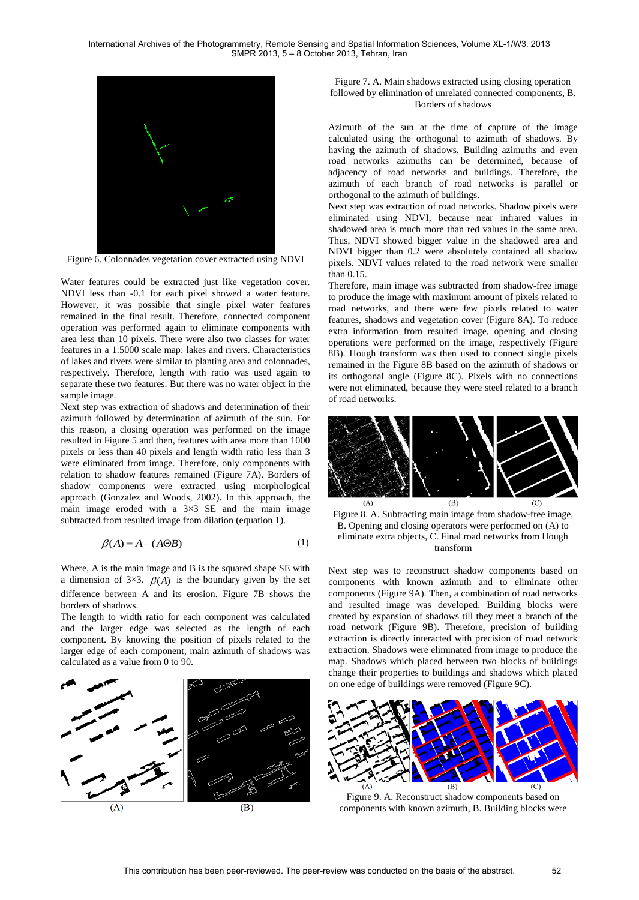International Archives of the Photogrammetry, Remote Sensing and Spatial Information Sciences, Volume XL-1/W3, 2013 SMPR 2013, 5 – 8 October 2013, Tehran, Iran



Figure 6. Colonnades vegetation cover extracted using NDVI

Water features could be extracted just like vegetation cover. NDVI less than -0.1 for each pixel showed a water feature. However, it was possible that single pixel water features remained in the final result. Therefore, connected component operation was performed again to eliminate components with area less than 10 pixels. There were also two classes for water features in a 1:5000 scale map: lakes and rivers. Characteristics of lakes and rivers were similar to planting area and colonnades, respectively. Therefore, length with ratio was used again to separate these two features. But there was no water object in the sample image.

Next step was extraction of shadows and determination of their azimuth followed by determination of azimuth of the sun. For this reason, a closing operation was performed on the image resulted in Figure 5 and then, features with area more than 1000 pixels or less than 40 pixels and length width ratio less than 3 were eliminated from image. Therefore, only components with relation to shadow features remained (Figure 7A). Borders of shadow components were extracted using morphological approach (Gonzalez and Woods, 2002). In this approach, the main image eroded with a  $3\times3$  SE and the main image subtracted from resulted image from dilation (equation 1).

$$
\beta(A) = A - (A \Theta B) \tag{1}
$$

Where, A is the main image and B is the squared shape SE with a dimension of  $3\times3$ .  $\beta(A)$  is the boundary given by the set difference between A and its erosion. Figure 7B shows the borders of shadows.

The length to width ratio for each component was calculated and the larger edge was selected as the length of each component. By knowing the position of pixels related to the larger edge of each component, main azimuth of shadows was calculated as a value from 0 to 90.



Figure 7. A. Main shadows extracted using closing operation followed by elimination of unrelated connected components, B. Borders of shadows

Azimuth of the sun at the time of capture of the image calculated using the orthogonal to azimuth of shadows. By having the azimuth of shadows, Building azimuths and even road networks azimuths can be determined, because of adjacency of road networks and buildings. Therefore, the azimuth of each branch of road networks is parallel or orthogonal to the azimuth of buildings.

Next step was extraction of road networks. Shadow pixels were eliminated using NDVI, because near infrared values in shadowed area is much more than red values in the same area. Thus, NDVI showed bigger value in the shadowed area and NDVI bigger than 0.2 were absolutely contained all shadow pixels. NDVI values related to the road network were smaller than 0.15.

Therefore, main image was subtracted from shadow-free image to produce the image with maximum amount of pixels related to road networks, and there were few pixels related to water features, shadows and vegetation cover (Figure 8A). To reduce extra information from resulted image, opening and closing operations were performed on the image, respectively (Figure 8B). Hough transform was then used to connect single pixels remained in the Figure 8B based on the azimuth of shadows or its orthogonal angle (Figure 8C). Pixels with no connections were not eliminated, because they were steel related to a branch of road networks.



Figure 8. A. Subtracting main image from shadow-free image, B. Opening and closing operators were performed on (A) to eliminate extra objects, C. Final road networks from Hough transform

Next step was to reconstruct shadow components based on components with known azimuth and to eliminate other components (Figure 9A). Then, a combination of road networks and resulted image was developed. Building blocks were created by expansion of shadows till they meet a branch of the road network (Figure 9B). Therefore, precision of building extraction is directly interacted with precision of road network extraction. Shadows were eliminated from image to produce the map. Shadows which placed between two blocks of buildings change their properties to buildings and shadows which placed on one edge of buildings were removed (Figure 9C).



Figure 9. A. Reconstruct shadow components based on components with known azimuth, B. Building blocks were